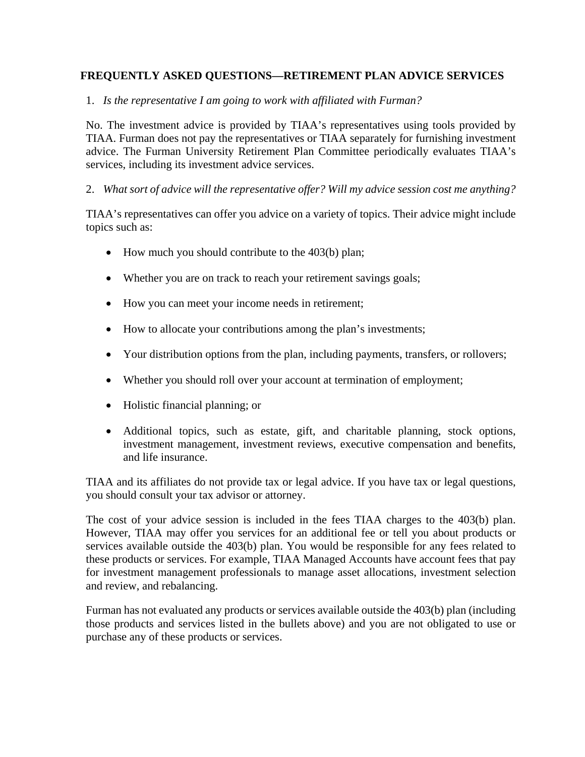# **FREQUENTLY ASKED QUESTIONS—RETIREMENT PLAN ADVICE SERVICES**

1. *Is the representative I am going to work with affiliated with Furman?* 

No. The investment advice is provided by TIAA's representatives using tools provided by TIAA. Furman does not pay the representatives or TIAA separately for furnishing investment advice. The Furman University Retirement Plan Committee periodically evaluates TIAA's services, including its investment advice services.

#### 2. *What sort of advice will the representative offer? Will my advice session cost me anything?*

TIAA's representatives can offer you advice on a variety of topics. Their advice might include topics such as:

- $\bullet$  How much you should contribute to the 403(b) plan;
- Whether you are on track to reach your retirement savings goals;
- How you can meet your income needs in retirement;
- How to allocate your contributions among the plan's investments;
- Your distribution options from the plan, including payments, transfers, or rollovers;
- Whether you should roll over your account at termination of employment;
- Holistic financial planning; or
- Additional topics, such as estate, gift, and charitable planning, stock options, investment management, investment reviews, executive compensation and benefits, and life insurance.

TIAA and its affiliates do not provide tax or legal advice. If you have tax or legal questions, you should consult your tax advisor or attorney.

The cost of your advice session is included in the fees TIAA charges to the 403(b) plan. However, TIAA may offer you services for an additional fee or tell you about products or services available outside the 403(b) plan. You would be responsible for any fees related to these products or services. For example, TIAA Managed Accounts have account fees that pay for investment management professionals to manage asset allocations, investment selection and review, and rebalancing.

Furman has not evaluated any products or services available outside the 403(b) plan (including those products and services listed in the bullets above) and you are not obligated to use or purchase any of these products or services.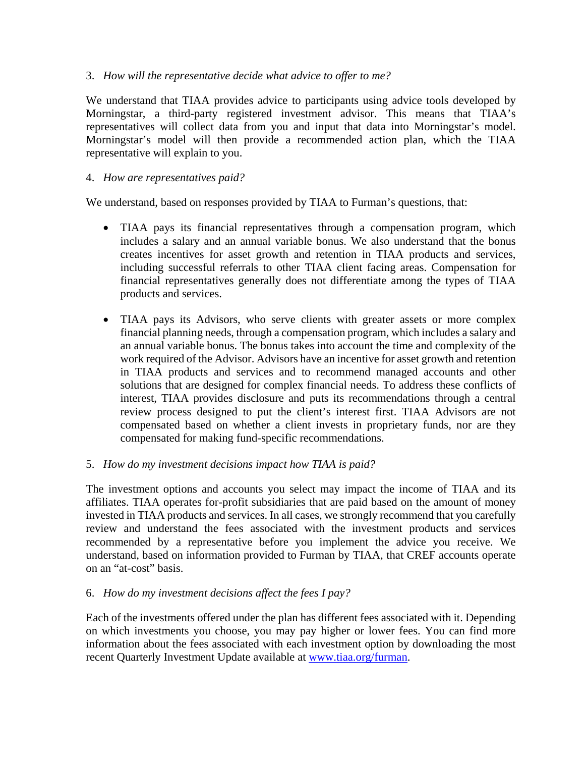#### 3. *How will the representative decide what advice to offer to me?*

We understand that TIAA provides advice to participants using advice tools developed by Morningstar, a third-party registered investment advisor. This means that TIAA's representatives will collect data from you and input that data into Morningstar's model. Morningstar's model will then provide a recommended action plan, which the TIAA representative will explain to you.

### 4. *How are representatives paid?*

We understand, based on responses provided by TIAA to Furman's questions, that:

- TIAA pays its financial representatives through a compensation program, which includes a salary and an annual variable bonus. We also understand that the bonus creates incentives for asset growth and retention in TIAA products and services, including successful referrals to other TIAA client facing areas. Compensation for financial representatives generally does not differentiate among the types of TIAA products and services.
- TIAA pays its Advisors, who serve clients with greater assets or more complex financial planning needs, through a compensation program, which includes a salary and an annual variable bonus. The bonus takes into account the time and complexity of the work required of the Advisor. Advisors have an incentive for asset growth and retention in TIAA products and services and to recommend managed accounts and other solutions that are designed for complex financial needs. To address these conflicts of interest, TIAA provides disclosure and puts its recommendations through a central review process designed to put the client's interest first. TIAA Advisors are not compensated based on whether a client invests in proprietary funds, nor are they compensated for making fund-specific recommendations.

#### 5. *How do my investment decisions impact how TIAA is paid?*

The investment options and accounts you select may impact the income of TIAA and its affiliates. TIAA operates for-profit subsidiaries that are paid based on the amount of money invested in TIAA products and services. In all cases, we strongly recommend that you carefully review and understand the fees associated with the investment products and services recommended by a representative before you implement the advice you receive. We understand, based on information provided to Furman by TIAA, that CREF accounts operate on an "at-cost" basis.

# 6. *How do my investment decisions affect the fees I pay?*

Each of the investments offered under the plan has different fees associated with it. Depending on which investments you choose, you may pay higher or lower fees. You can find more information about the fees associated with each investment option by downloading the most recent Quarterly Investment Update available at www.tiaa.org/furman.